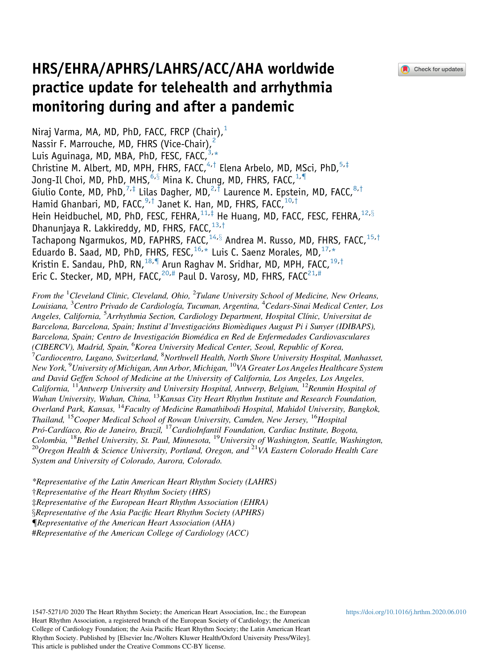

# HRS/EHRA/APHRS/LAHRS/ACC/AHA worldwide practice update for telehealth and arrhythmia monitoring during and after a pandemic

Niraj Varma, MA, MD, PhD, FACC, FRCP (Chair), $<sup>1</sup>$  $<sup>1</sup>$  $<sup>1</sup>$ </sup> Nassir F. Marrouche, MD, FHRS (Vice-Chair),<sup>[2](#page-0-0)</sup> Luis Aguinaga, MD, MBA, PhD, FESC, FACC,<sup>[3,](#page-0-1)\*</sup> Christine M. Albert, MD, MPH, FHRS, FACC,  $4.1$  Elena Arbelo, MD, MSci, PhD,  $5.4$  $5.4$ Jong-Il Choi, MD, PhD, MHS,  $6.8$  $6.8$  Mina K. Chung, MD, FHRS, FACC,  $1.9$  $1.9$ Giulio Conte, MD, PhD,  $7, \frac{1}{4}$  $7, \frac{1}{4}$  Lilas Dagher, MD,  $2, \frac{3}{4}$  $2, \frac{3}{4}$  Laurence M. Epstein, MD, FACC,  $8, \frac{1}{4}$  $8, \frac{1}{4}$ Hamid Ghanbari, MD, FACC, <sup>[9](#page-0-5),†</sup> Janet K. Han, MD, FHRS, FACC, <sup>[10,](#page-0-5)†</sup> Hein Heidbuchel, MD, PhD, FESC, FEHRA,  $11, 4$  $11, 4$  He Huang, MD, FACC, FESC, FEHRA,  $12, 8$  $12, 8$ Dhanunjaya R. Lakkireddy, MD, FHRS, FACC, [13,](#page-0-7)<sup>†</sup> Tachapong Ngarmukos, MD, FAPHRS, FACC, <sup>[14,](#page-0-8)§</sup> Andrea M. Russo, MD, FHRS, FACC.<sup>[15](#page-0-9),†</sup> Eduardo B. Saad, MD, PhD, FHRS, FESC,  $16.*$  $16.*$  Luis C. Saenz Morales, MD,  $17.*$ Kristin E. Sandau, PhD, RN,<sup>[18](#page-0-11),¶</sup> Arun Raghav M. Sridhar, MD, MPH, FACC,<sup>[19,](#page-0-11)†</sup> Eric C. Stecker, MD, MPH, FACC, <sup>[20,](#page-0-11)#</sup> Paul D. Varosy, MD, FHRS, FACC<sup>[21,](#page-0-12)#</sup>

<span id="page-0-6"></span><span id="page-0-5"></span><span id="page-0-4"></span><span id="page-0-3"></span><span id="page-0-2"></span><span id="page-0-1"></span><span id="page-0-0"></span>From the <sup>1</sup>Cleveland Clinic, Cleveland, Ohio, <sup>2</sup>Tulane University School of Medicine, New Orleans, Louisiana, <sup>3</sup>Centro Privado de Cardiología, Tucuman, Argentina, <sup>4</sup>Cedars-Sinai Medical Center, Los Angeles, California, <sup>5</sup>Arrhythmia Section, Cardiology Department, Hospital Clínic, Universitat de Barcelona, Barcelona, Spain; Institut d'Investigacións Biomediques August Pi i Sunyer (IDIBAPS), Barcelona, Spain; Centro de Investigación Biomédica en Red de Enfermedades Cardiovasculares (CIBERCV), Madrid, Spain, <sup>6</sup>Korea University Medical Center, Seoul, Republic of Korea,<br><sup>7</sup>Cardiocentre, Lugano, Switzerland, <sup>8</sup>Northwell Haalth, North Shore University Hospital Cardiocentro, Lugano, Switzerland, <sup>8</sup>Northwell Health, North Shore University Hospital, Manhasset, New York, <sup>9</sup>University of Michigan, Ann Arbor, Michigan, <sup>10</sup>VA Greater Los Angeles Healthcare System and David Geffen School of Medicine at the University of California, Los Angeles, Los Angeles, California,  $11$ Antwerp University and University Hospital, Antwerp, Belgium,  $12$ Renmin Hospital of Wuhan University, Wuhan, China,  $13$ Kansas City Heart Rhythm Institute and Research Foundation, Overland Park, Kansas, <sup>14</sup>Faculty of Medicine Ramathibodi Hospital, Mahidol University, Bangkok, Thailand, <sup>15</sup>Cooper Medical School of Rowan University, Camden, New Jersey, <sup>16</sup>Hospital Pró-Cardíaco, Rio de Janeiro, Brazil, <sup>17</sup>CardioInfantil Foundation, Cardiac Institute, Bogota, Colombia, <sup>18</sup>Bethel University, St. Paul, Minnesota, <sup>19</sup>University of Washington, Seattle, Washington, <sup>20</sup>Oregon Health & Science University, Portland, Oregon, and <sup>21</sup>VA Eastern Colorado Health Care System and University of Colorado, Aurora, Colorado.

<span id="page-0-12"></span><span id="page-0-11"></span><span id="page-0-10"></span><span id="page-0-9"></span><span id="page-0-8"></span><span id="page-0-7"></span>\*Representative of the Latin American Heart Rhythm Society (LAHRS) †Representative of the Heart Rhythm Society (HRS) ‡Representative of the European Heart Rhythm Association (EHRA) xRepresentative of the Asia Pacific Heart Rhythm Society (APHRS) {Representative of the American Heart Association (AHA) #Representative of the American College of Cardiology (ACC)

1547-5271/© 2020 The Heart Rhythm Society; the American Heart Association, Inc.; the European Heart Rhythm Association, a registered branch of the European Society of Cardiology; the American College of Cardiology Foundation; the Asia Pacific Heart Rhythm Society; the Latin American Heart Rhythm Society. Published by [Elsevier Inc./Wolters Kluwer Health/Oxford University Press/Wiley]. This article is published under the Creative Commons CC-BY license.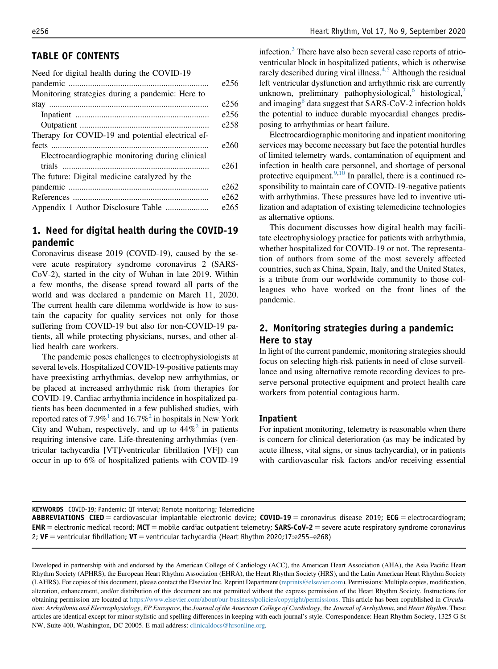## TABLE OF CONTENTS

Need for digital health during the COVID-19

|                                                   | e256 |
|---------------------------------------------------|------|
| Monitoring strategies during a pandemic: Here to  |      |
|                                                   | e256 |
|                                                   | e256 |
|                                                   | e258 |
| Therapy for COVID-19 and potential electrical ef- |      |
|                                                   | e260 |
| Electrocardiographic monitoring during clinical   |      |
|                                                   | e261 |
| The future: Digital medicine catalyzed by the     |      |
|                                                   | e262 |
|                                                   | e262 |
|                                                   | e265 |
|                                                   |      |

## 1. Need for digital health during the COVID-19 pandemic

Coronavirus disease 2019 (COVID-19), caused by the severe acute respiratory syndrome coronavirus 2 (SARS-CoV-2), started in the city of Wuhan in late 2019. Within a few months, the disease spread toward all parts of the world and was declared a pandemic on March 11, 2020. The current health care dilemma worldwide is how to sustain the capacity for quality services not only for those suffering from COVID-19 but also for non-COVID-19 patients, all while protecting physicians, nurses, and other allied health care workers.

The pandemic poses challenges to electrophysiologists at several levels. Hospitalized COVID-19-positive patients may have preexisting arrhythmias, develop new arrhythmias, or be placed at increased arrhythmic risk from therapies for COVID-19. Cardiac arrhythmia incidence in hospitalized patients has been documented in a few published studies, with reported rates of 7.9%<sup>[1](#page-7-0)</sup> and 16.7%<sup>[2](#page-7-1)</sup> in hospitals in New York City and Wuhan, respectively, and up to  $44\%^2$  $44\%^2$  in patients requiring intensive care. Life-threatening arrhythmias (ventricular tachycardia [VT]/ventricular fibrillation [VF]) can occur in up to 6% of hospitalized patients with COVID-19 infection.<sup>[3](#page-7-2)</sup> There have also been several case reports of atrioventricular block in hospitalized patients, which is otherwise rarely described during viral illness.<sup>[4](#page-7-3)[,5](#page-7-4)</sup> Although the residual left ventricular dysfunction and arrhythmic risk are currently unknown, preliminary pathophysiological, $6$  histological, $7$ and imaging<sup>8</sup> data suggest that SARS-CoV-2 infection holds the potential to induce durable myocardial changes predisposing to arrhythmias or heart failure.

Electrocardiographic monitoring and inpatient monitoring services may become necessary but face the potential hurdles of limited telemetry wards, contamination of equipment and infection in health care personnel, and shortage of personal protective equipment.<sup>[9](#page-7-8),[10](#page-8-0)</sup> In parallel, there is a continued responsibility to maintain care of COVID-19-negative patients with arrhythmias. These pressures have led to inventive utilization and adaptation of existing telemedicine technologies as alternative options.

This document discusses how digital health may facilitate electrophysiology practice for patients with arrhythmia, whether hospitalized for COVID-19 or not. The representation of authors from some of the most severely affected countries, such as China, Spain, Italy, and the United States, is a tribute from our worldwide community to those colleagues who have worked on the front lines of the pandemic.

## 2. Monitoring strategies during a pandemic: Here to stay

In light of the current pandemic, monitoring strategies should focus on selecting high-risk patients in need of close surveillance and using alternative remote recording devices to preserve personal protective equipment and protect health care workers from potential contagious harm.

#### Inpatient

For inpatient monitoring, telemetry is reasonable when there is concern for clinical deterioration (as may be indicated by acute illness, vital signs, or sinus tachycardia), or in patients with cardiovascular risk factors and/or receiving essential

#### KEYWORDS COVID-19; Pandemic; QT interval; Remote monitoring; Telemedicine

**ABBREVIATIONS CIED** = cardiovascular implantable electronic device; **COVID-19** = coronavirus disease 2019; ECG = electrocardiogram; **EMR** = electronic medical record; MCT = mobile cardiac outpatient telemetry; SARS-CoV-2 = severe acute respiratory syndrome coronavirus 2;  $VF =$  ventricular fibrillation;  $VT =$  ventricular tachycardia (Heart Rhythm 2020;17:e255–e268)

Developed in partnership with and endorsed by the American College of Cardiology (ACC), the American Heart Association (AHA), the Asia Pacific Heart Rhythm Society (APHRS), the European Heart Rhythm Association (EHRA), the Heart Rhythm Society (HRS), and the Latin American Heart Rhythm Society (LAHRS). For copies of this document, please contact the Elsevier Inc. Reprint Department ([reprints@elsevier.com\)](mailto:reprints@elsevier.com). Permissions: Multiple copies, modification, alteration, enhancement, and/or distribution of this document are not permitted without the express permission of the Heart Rhythm Society. Instructions for obtaining permission are located at [https://www.elsevier.com/about/our-business/policies/copyright/permissions.](https://www.elsevier.com/about/our-business/policies/copyright/permissions) This article has been copublished in Circulation: Arrhythmia and Electrophysiology, EP Europace, the Journal of the American College of Cardiology, the Journal of Arrhythmia, and Heart Rhythm. These articles are identical except for minor stylistic and spelling differences in keeping with each journal's style. Correspondence: Heart Rhythm Society, 1325 G St NW, Suite 400, Washington, DC 20005. E-mail address: [clinicaldocs@hrsonline.org.](mailto:clinicaldocs@hrsonline.org)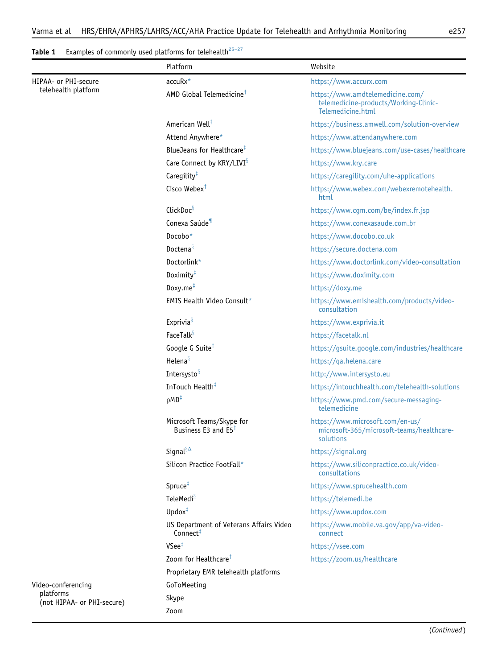## <span id="page-2-0"></span>**Table 1** Examples of commonly used platforms for telehealth<sup>25-[27](#page-8-1)</sup>

|                                         | Platform                                                        | Website                                                                                        |  |  |  |
|-----------------------------------------|-----------------------------------------------------------------|------------------------------------------------------------------------------------------------|--|--|--|
| HIPAA- or PHI-secure                    | $accuRx*$                                                       | https://www.accurx.com                                                                         |  |  |  |
| telehealth platform                     | AMD Global Telemedicine <sup>t</sup>                            | https://www.amdtelemedicine.com/<br>telemedicine-products/Working-Clinic-<br>Telemedicine.html |  |  |  |
|                                         | American Well <sup>‡</sup>                                      | https://business.amwell.com/solution-overview                                                  |  |  |  |
|                                         | Attend Anywhere*                                                | https://www.attendanywhere.com                                                                 |  |  |  |
|                                         | BlueJeans for Healthcare <sup>‡</sup>                           | https://www.bluejeans.com/use-cases/healthcare                                                 |  |  |  |
|                                         | Care Connect by KRY/LIVI <sup>§</sup>                           | https://www.kry.care                                                                           |  |  |  |
|                                         | Caregility <sup>#</sup>                                         | https://caregility.com/uhe-applications                                                        |  |  |  |
|                                         | Cisco Webex <sup>†</sup>                                        | https://www.webex.com/webexremotehealth.<br>html                                               |  |  |  |
|                                         | ClickDoc <sup>§</sup>                                           | https://www.cgm.com/be/index.fr.jsp                                                            |  |  |  |
|                                         | Conexa Saúde <sup>1</sup>                                       | https://www.conexasaude.com.br                                                                 |  |  |  |
|                                         | Docobo*                                                         | https://www.docobo.co.uk                                                                       |  |  |  |
|                                         | Doctena <sup>§</sup>                                            | https://secure.doctena.com                                                                     |  |  |  |
|                                         | Doctorlink*                                                     | https://www.doctorlink.com/video-consultation                                                  |  |  |  |
|                                         | Doxim <sup>†</sup>                                              | https://www.doximity.com                                                                       |  |  |  |
|                                         | Doxy.me $‡$                                                     | https://doxy.me                                                                                |  |  |  |
|                                         | EMIS Health Video Consult*                                      | https://www.emishealth.com/products/video-<br>consultation                                     |  |  |  |
|                                         | Exprivia <sup>§</sup>                                           | https://www.exprivia.it                                                                        |  |  |  |
|                                         | FaceTalk <sup>§</sup>                                           | https://facetalk.nl                                                                            |  |  |  |
|                                         | Google G Suite <sup>†</sup>                                     | https://gsuite.google.com/industries/healthcare                                                |  |  |  |
|                                         | Helena <sup>§</sup>                                             | https://qa.helena.care                                                                         |  |  |  |
|                                         | Intersysto <sup>§</sup>                                         | http://www.intersysto.eu                                                                       |  |  |  |
|                                         | InTouch Health <sup>#</sup>                                     | https://intouchhealth.com/telehealth-solutions                                                 |  |  |  |
|                                         | $pMD^{\ddagger}$                                                | https://www.pmd.com/secure-messaging-<br>telemedicine                                          |  |  |  |
|                                         | Microsoft Teams/Skype for<br>Business E3 and E5 <sup>t</sup>    | https://www.microsoft.com/en-us/<br>microsoft-365/microsoft-teams/healthcare-<br>solutions     |  |  |  |
|                                         | Signal $\S^{\Delta}$                                            | https://signal.org                                                                             |  |  |  |
|                                         | Silicon Practice FootFall*                                      | https://www.siliconpractice.co.uk/video-<br>consultations                                      |  |  |  |
|                                         | Spruce <sup>‡</sup>                                             | https://www.sprucehealth.com                                                                   |  |  |  |
|                                         | TeleMedi <sup>§</sup>                                           | https://telemedi.be                                                                            |  |  |  |
|                                         | $Updox^{\ddagger}$                                              | https://www.updox.com                                                                          |  |  |  |
|                                         | US Department of Veterans Affairs Video<br>$Connect^{\ddagger}$ | https://www.mobile.va.gov/app/va-video-<br>connect                                             |  |  |  |
|                                         | $V$ See $‡$                                                     | https://vsee.com                                                                               |  |  |  |
|                                         | Zoom for Healthcare <sup>†</sup>                                | https://zoom.us/healthcare                                                                     |  |  |  |
|                                         | Proprietary EMR telehealth platforms                            |                                                                                                |  |  |  |
| Video-conferencing                      | GoToMeeting                                                     |                                                                                                |  |  |  |
| platforms<br>(not HIPAA- or PHI-secure) | Skype                                                           |                                                                                                |  |  |  |

Zoom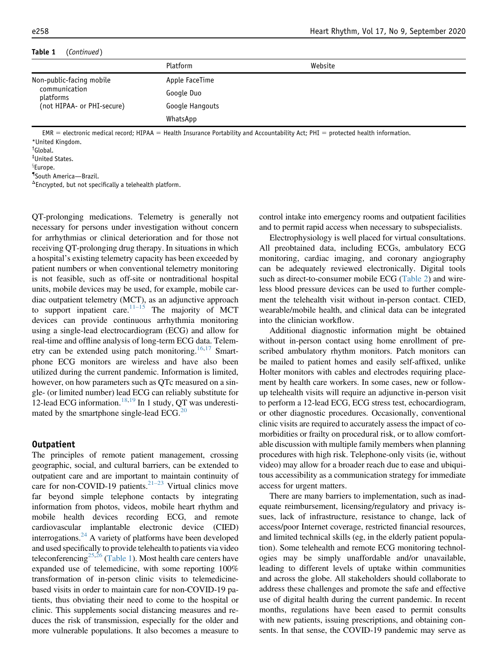#### Table 1 (Continued)

|                                                          | Platform        | Website |  |
|----------------------------------------------------------|-----------------|---------|--|
| Non-public-facing mobile                                 | Apple FaceTime  |         |  |
| communication<br>platforms<br>(not HIPAA- or PHI-secure) | Google Duo      |         |  |
|                                                          | Google Hangouts |         |  |
|                                                          | WhatsApp        |         |  |
|                                                          |                 |         |  |

 $EMR =$  electronic medical record; HIPAA = Health Insurance Portability and Accountability Act; PHI = protected health information. \*United Kingdom.

† Global.

‡ United States.

 $^8$ Europe.

{ South America—Brazil.

 $\Delta$ Encrypted, but not specifically a telehealth platform.

QT-prolonging medications. Telemetry is generally not necessary for persons under investigation without concern for arrhythmias or clinical deterioration and for those not receiving QT-prolonging drug therapy. In situations in which a hospital's existing telemetry capacity has been exceeded by patient numbers or when conventional telemetry monitoring is not feasible, such as off-site or nontraditional hospital units, mobile devices may be used, for example, mobile cardiac outpatient telemetry (MCT), as an adjunctive approach to support inpatient care.<sup>11–[15](#page-8-2)</sup> The majority of MCT devices can provide continuous arrhythmia monitoring using a single-lead electrocardiogram (ECG) and allow for real-time and offline analysis of long-term ECG data. Telem-etry can be extended using patch monitoring.<sup>[16](#page-8-3)[,17](#page-8-4)</sup> Smartphone ECG monitors are wireless and have also been utilized during the current pandemic. Information is limited, however, on how parameters such as QTc measured on a single- (or limited number) lead ECG can reliably substitute for 12-lead ECG information.<sup>[18](#page-8-5)[,19](#page-8-6)</sup> In 1 study, QT was underestimated by the smartphone single-lead ECG. $^{20}$  $^{20}$  $^{20}$ 

#### Outpatient

The principles of remote patient management, crossing geographic, social, and cultural barriers, can be extended to outpatient care and are important to maintain continuity of care for non-COVID-19 patients.<sup>21–23</sup> Virtual clinics move far beyond simple telephone contacts by integrating information from photos, videos, mobile heart rhythm and mobile health devices recording ECG, and remote cardiovascular implantable electronic device (CIED) interrogations.<sup>24</sup> A variety of platforms have been developed and used specifically to provide telehealth to patients via video teleconferencing<sup>[25](#page-8-1)[,26](#page-8-10)</sup> ([Table 1](#page-2-0)). Most health care centers have expanded use of telemedicine, with some reporting 100% transformation of in-person clinic visits to telemedicinebased visits in order to maintain care for non-COVID-19 patients, thus obviating their need to come to the hospital or clinic. This supplements social distancing measures and reduces the risk of transmission, especially for the older and more vulnerable populations. It also becomes a measure to control intake into emergency rooms and outpatient facilities and to permit rapid access when necessary to subspecialists.

Electrophysiology is well placed for virtual consultations. All preobtained data, including ECGs, ambulatory ECG monitoring, cardiac imaging, and coronary angiography can be adequately reviewed electronically. Digital tools such as direct-to-consumer mobile ECG [\(Table 2](#page-4-0)) and wireless blood pressure devices can be used to further complement the telehealth visit without in-person contact. CIED, wearable/mobile health, and clinical data can be integrated into the clinician workflow.

Additional diagnostic information might be obtained without in-person contact using home enrollment of prescribed ambulatory rhythm monitors. Patch monitors can be mailed to patient homes and easily self-affixed, unlike Holter monitors with cables and electrodes requiring placement by health care workers. In some cases, new or followup telehealth visits will require an adjunctive in-person visit to perform a 12-lead ECG, ECG stress test, echocardiogram, or other diagnostic procedures. Occasionally, conventional clinic visits are required to accurately assess the impact of comorbidities or frailty on procedural risk, or to allow comfortable discussion with multiple family members when planning procedures with high risk. Telephone-only visits (ie, without video) may allow for a broader reach due to ease and ubiquitous accessibility as a communication strategy for immediate access for urgent matters.

There are many barriers to implementation, such as inadequate reimbursement, licensing/regulatory and privacy issues, lack of infrastructure, resistance to change, lack of access/poor Internet coverage, restricted financial resources, and limited technical skills (eg, in the elderly patient population). Some telehealth and remote ECG monitoring technologies may be simply unaffordable and/or unavailable, leading to different levels of uptake within communities and across the globe. All stakeholders should collaborate to address these challenges and promote the safe and effective use of digital health during the current pandemic. In recent months, regulations have been eased to permit consults with new patients, issuing prescriptions, and obtaining consents. In that sense, the COVID-19 pandemic may serve as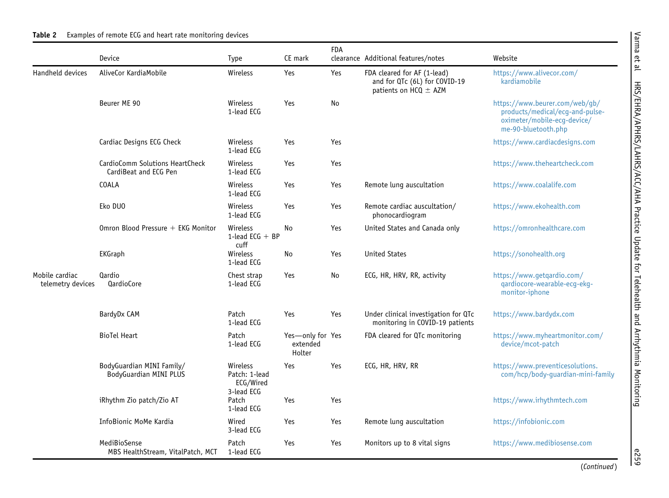#### **Table 2** Examples of remote ECG and heart rate monitoring devices

<span id="page-4-0"></span>

|                                     | Device                                                   | Type                                   | CE mark                                | <b>FDA</b> | clearance Additional features/notes                                                       | Website                                                                                                                 |
|-------------------------------------|----------------------------------------------------------|----------------------------------------|----------------------------------------|------------|-------------------------------------------------------------------------------------------|-------------------------------------------------------------------------------------------------------------------------|
| Handheld devices                    | AliveCor KardiaMobile                                    | Wireless                               | Yes                                    | Yes        | FDA cleared for AF (1-lead)<br>and for QTc (6L) for COVID-19<br>patients on HCQ $\pm$ AZM | https://www.alivecor.com/<br>kardiamobile                                                                               |
|                                     | Beurer ME 90                                             | Wireless<br>1-lead ECG                 | Yes                                    | No         |                                                                                           | https://www.beurer.com/web/gb/<br>products/medical/ecg-and-pulse-<br>oximeter/mobile-ecg-device/<br>me-90-bluetooth.php |
|                                     | Cardiac Designs ECG Check                                | Wireless<br>1-lead ECG                 | Yes                                    | Yes        |                                                                                           | https://www.cardiacdesigns.com                                                                                          |
|                                     | CardioComm Solutions HeartCheck<br>CardiBeat and ECG Pen | Wireless<br>1-lead ECG                 | Yes                                    | Yes        |                                                                                           | https://www.theheartcheck.com                                                                                           |
|                                     | <b>COALA</b>                                             | Wireless<br>1-lead ECG                 | Yes                                    | Yes        | Remote lung auscultation                                                                  | https://www.coalalife.com                                                                                               |
|                                     | Eko DUO                                                  | Wireless<br>1-lead ECG                 | Yes                                    | Yes        | Remote cardiac auscultation/<br>phonocardiogram                                           | https://www.ekohealth.com                                                                                               |
|                                     | Omron Blood Pressure + EKG Monitor                       | Wireless<br>1-lead ECG $+$ BP<br>cuff  | No                                     | Yes        | United States and Canada only                                                             | https://omronhealthcare.com                                                                                             |
|                                     | <b>EKGraph</b>                                           | Wireless<br>1-lead ECG                 | No                                     | Yes        | <b>United States</b>                                                                      | https://sonohealth.org                                                                                                  |
| Mobile cardiac<br>telemetry devices | <b>Qardio</b><br>QardioCore                              | Chest strap<br>1-lead ECG              | Yes                                    | No         | ECG, HR, HRV, RR, activity                                                                | https://www.getqardio.com/<br>qardiocore-wearable-ecg-ekg-<br>monitor-iphone                                            |
|                                     | BardyDx CAM                                              | Patch<br>1-lead ECG                    | Yes                                    | Yes        | Under clinical investigation for QTc<br>monitoring in COVID-19 patients                   | https://www.bardydx.com                                                                                                 |
|                                     | <b>BioTel Heart</b>                                      | Patch<br>1-lead ECG                    | Yes-only for Yes<br>extended<br>Holter |            | FDA cleared for QTc monitoring                                                            | https://www.myheartmonitor.com/<br>device/mcot-patch                                                                    |
|                                     | BodyGuardian MINI Family/<br>BodyGuardian MINI PLUS      | Wireless<br>Patch: 1-lead<br>ECG/Wired | Yes                                    | Yes        | ECG, HR, HRV, RR                                                                          | https://www.preventicesolutions.<br>com/hcp/body-guardian-mini-family                                                   |
|                                     | iRhythm Zio patch/Zio AT                                 | 3-lead ECG<br>Patch<br>1-lead ECG      | Yes                                    | Yes        |                                                                                           | https://www.irhythmtech.com                                                                                             |
|                                     | InfoBionic MoMe Kardia                                   | Wired<br>3-lead ECG                    | Yes                                    | Yes        | Remote lung auscultation                                                                  | https://infobionic.com                                                                                                  |
|                                     | MediBioSense<br>MBS HealthStream, VitalPatch, MCT        | Patch<br>1-lead ECG                    | Yes                                    | Yes        | Monitors up to 8 vital signs                                                              | https://www.medibiosense.com                                                                                            |

e259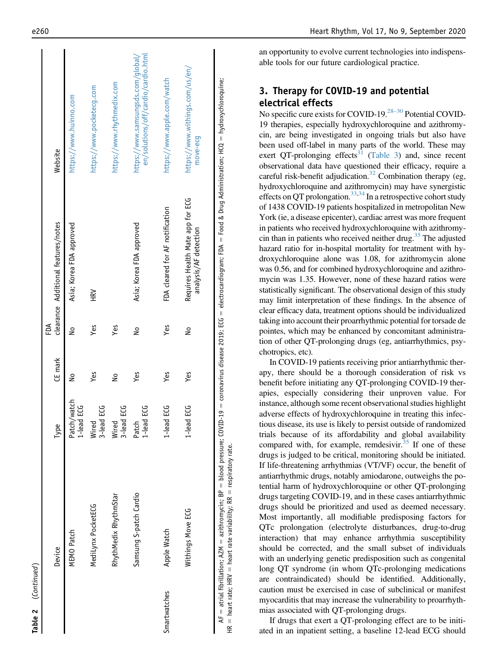|              |                                                                                                                                                                                                                                                                             |                           |               | ΕĎ            |                                                           |                                                                           |
|--------------|-----------------------------------------------------------------------------------------------------------------------------------------------------------------------------------------------------------------------------------------------------------------------------|---------------------------|---------------|---------------|-----------------------------------------------------------|---------------------------------------------------------------------------|
|              | Device                                                                                                                                                                                                                                                                      | Type                      | CE mark       |               | clearance Additional features/notes                       | Website                                                                   |
|              | MEMO Patch                                                                                                                                                                                                                                                                  | Patch/watch<br>1-lead ECG | $\frac{1}{2}$ | $\frac{1}{2}$ | Asia; Korea FDA approved                                  | https://www.huinno.com                                                    |
|              | MediLynx PocketECG                                                                                                                                                                                                                                                          | 3-lead ECG<br>Wired       | Yes           | Yes           | <b>NHK</b>                                                | https://www.pocketecq.com                                                 |
|              | Rhyth Medix RhythmStar                                                                                                                                                                                                                                                      | 3-lead ECG<br>Wired       | $\frac{1}{2}$ | Yes           |                                                           | https://www.rhythmedix.com                                                |
|              | Samsung S-patch Cardio                                                                                                                                                                                                                                                      | 1-lead ECG<br>Patch       | Yes           | ş             | Asia; Korea FDA approved                                  | en/solutions/off/cardio/cardio.html<br>https://www.samsungsds.com/global/ |
| Smartwatches | Apple Watch                                                                                                                                                                                                                                                                 | 1-lead ECG                | Yes           | Yes           | FDA cleared for AF notification                           | https://www.apple.com/watch                                               |
|              | Withings Move ECG                                                                                                                                                                                                                                                           | 1-lead ECG                | yes           | ş             | Requires Health Mate app for ECG<br>analysis/AF detection | https://www.withings.com/us/en/<br>move-ecg                               |
|              | AF = atrial fibrillation; AZM = azithromycin; BP = blood pressure; COVID-19 = coronavirus disease 2019; ECG = electrocardiogram; FDA = Food & Drug Administration; HCQ = hydroxychloroquine;<br>$HR = heat rate$ ; $HRV = heart rate$ variability; $RR = respiratory$ rate. |                           |               |               |                                                           |                                                                           |

an opportunity to evolve current technologies into indispensable tools for our future cardiological practice.

## 3. Therapy for COVID-19 and potential electrical effects

No specific cure exists for COVID-19.<sup>28–30</sup> Potential COVID-19 therapies, especially hydroxychloroquine and azithromycin, are being investigated in ongoing trials but also have been used off-label in many parts of the world. These may exert QT-prolonging effects<sup>[31](#page-8-12)</sup> [\(Table 3\)](#page-6-0) and, since recent observational data have questioned their efficacy, require a careful risk-benefit adjudication.<sup>32</sup> Combination therapy (eg, hydroxychloroquine and azithromycin) may have synergistic effects on QT prolongation.<sup>[33](#page-8-14),[34](#page-8-15)</sup> In a retrospective cohort study of 1438 COVID-19 patients hospitalized in metropolitan New York (ie, a disease epicenter), cardiac arrest was more frequent in patients who received hydroxychloroquine with azithromycin than in patients who received neither drug.<sup>35</sup> The adjusted hazard ratio for in-hospital mortality for treatment with hydroxychloroquine alone was 1.08, for azithromycin alone was 0.56, and for combined hydroxychloroquine and azithromycin was 1.35. However, none of these hazard ratios were statistically significant. The observational design of this study may limit interpretation of these findings. In the absence of clear efficacy data, treatment options should be individualized taking into account their proarrhythmic potential for torsade de pointes, which may be enhanced by concomitant administration of other QT-prolonging drugs (eg, antiarrhythmics, psychotropics, etc).

In COVID-19 patients receiving prior antiarrhythmic therapy, there should be a thorough consideration of risk vs benefit before initiating any QT-prolonging COVID-19 therapies, especially considering their unproven value. For instance, although some recent observational studies highlight adverse effects of hydroxychloroquine in treating this infectious disease, its use is likely to persist outside of randomized trials because of its affordability and global availability compared with, for example, remdesivir.<sup>35</sup> If one of these drugs is judged to be critical, monitoring should be initiated. If life-threatening arrhythmias (VT/VF) occur, the benefit of antiarrhythmic drugs, notably amiodarone, outweighs the potential harm of hydroxychloroquine or other QT-prolonging drugs targeting COVID-19, and in these cases antiarrhythmic drugs should be prioritized and used as deemed necessary. Most importantly, all modifiable predisposing factors for QTc prolongation (electrolyte disturbances, drug-to-drug interaction) that may enhance arrhythmia susceptibility should be corrected, and the small subset of individuals with an underlying genetic predisposition such as congenital long QT syndrome (in whom QTc-prolonging medications are contraindicated) should be identified. Additionally, caution must be exercised in case of subclinical or manifest myocarditis that may increase the vulnerability to proarrhythmias associated with QT-prolonging drugs.

If drugs that exert a QT-prolonging effect are to be initiated in an inpatient setting, a baseline 12-lead ECG should

Table 2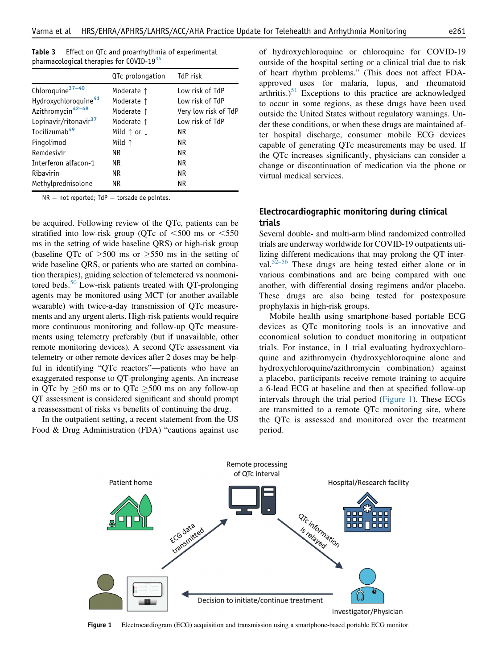<span id="page-6-0"></span>

| <b>Table 3</b> Effect on QTc and proarrhythmia of experimental |
|----------------------------------------------------------------|
| pharmacological therapies for COVID-1936                       |

|                                   | QTc prolongation                | TdP risk             |
|-----------------------------------|---------------------------------|----------------------|
| Chloroquine <sup>37-40</sup>      | Moderate 1                      | Low risk of TdP      |
| Hydroxychloroquine <sup>41</sup>  | Moderate 1                      | Low risk of TdP      |
| Azithromycin <sup>42-48</sup>     | Moderate 1                      | Very low risk of TdP |
| Lopinavir/ritonavir <sup>37</sup> | Moderate 1                      | Low risk of TdP      |
| Tocilizumab <sup>49</sup>         | Mild $\uparrow$ or $\downarrow$ | NR.                  |
| Fingolimod                        | Mild $\uparrow$                 | NR.                  |
| Remdesivir                        | <b>NR</b>                       | ΝR                   |
| Interferon alfacon-1              | <b>NR</b>                       | NR.                  |
| Ribavirin                         | <b>NR</b>                       | ΝR                   |
| Methylprednisolone                | ΝR                              | ΝR                   |

 $NR = not reported; TdP = torsade de pointers.$ 

be acquired. Following review of the QTc, patients can be stratified into low-risk group (QTc of  $<500$  ms or  $<550$ ms in the setting of wide baseline QRS) or high-risk group (baseline QTc of  $\geq 500$  ms or  $\geq 550$  ms in the setting of wide baseline QRS, or patients who are started on combination therapies), guiding selection of telemetered vs nonmoni-tored beds.<sup>[50](#page-8-17)</sup> Low-risk patients treated with QT-prolonging agents may be monitored using MCT (or another available wearable) with twice-a-day transmission of QTc measurements and any urgent alerts. High-risk patients would require more continuous monitoring and follow-up QTc measurements using telemetry preferably (but if unavailable, other remote monitoring devices). A second QTc assessment via telemetry or other remote devices after 2 doses may be helpful in identifying "QTc reactors"—patients who have an exaggerated response to QT-prolonging agents. An increase in QTc by  $\geq 60$  ms or to QTc  $\geq 500$  ms on any follow-up QT assessment is considered significant and should prompt a reassessment of risks vs benefits of continuing the drug.

<span id="page-6-1"></span>In the outpatient setting, a recent statement from the US Food & Drug Administration (FDA) "cautions against use of hydroxychloroquine or chloroquine for COVID-19 outside of the hospital setting or a clinical trial due to risk of heart rhythm problems." (This does not affect FDAapproved uses for malaria, lupus, and rheumatoid arthritis.) $51$  Exceptions to this practice are acknowledged to occur in some regions, as these drugs have been used outside the United States without regulatory warnings. Under these conditions, or when these drugs are maintained after hospital discharge, consumer mobile ECG devices capable of generating QTc measurements may be used. If the QTc increases significantly, physicians can consider a change or discontinuation of medication via the phone or virtual medical services.

## Electrocardiographic monitoring during clinical trials

Several double- and multi-arm blind randomized controlled trials are underway worldwide for COVID-19 outpatients utilizing different medications that may prolong the QT inter-val.<sup>52–[56](#page-8-19)</sup> These drugs are being tested either alone or in various combinations and are being compared with one another, with differential dosing regimens and/or placebo. These drugs are also being tested for postexposure prophylaxis in high-risk groups.

Mobile health using smartphone-based portable ECG devices as QTc monitoring tools is an innovative and economical solution to conduct monitoring in outpatient trials. For instance, in 1 trial evaluating hydroxychloroquine and azithromycin (hydroxychloroquine alone and hydroxychloroquine/azithromycin combination) against a placebo, participants receive remote training to acquire a 6-lead ECG at baseline and then at specified follow-up intervals through the trial period ([Figure 1\)](#page-6-1). These ECGs are transmitted to a remote QTc monitoring site, where the QTc is assessed and monitored over the treatment period.



Figure 1 Electrocardiogram (ECG) acquisition and transmission using a smartphone-based portable ECG monitor.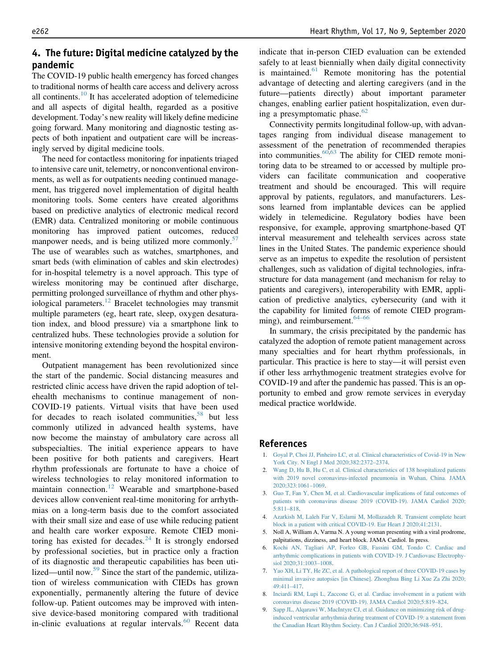## 4. The future: Digital medicine catalyzed by the pandemic

The COVID-19 public health emergency has forced changes to traditional norms of health care access and delivery across all continents.<sup>[10](#page-8-0)</sup> It has accelerated adoption of telemedicine and all aspects of digital health, regarded as a positive development. Today's new reality will likely define medicine going forward. Many monitoring and diagnostic testing aspects of both inpatient and outpatient care will be increasingly served by digital medicine tools.

The need for contactless monitoring for inpatients triaged to intensive care unit, telemetry, or nonconventional environments, as well as for outpatients needing continued management, has triggered novel implementation of digital health monitoring tools. Some centers have created algorithms based on predictive analytics of electronic medical record (EMR) data. Centralized monitoring or mobile continuous monitoring has improved patient outcomes, reduced manpower needs, and is being utilized more commonly. $57$ The use of wearables such as watches, smartphones, and smart beds (with elimination of cables and skin electrodes) for in-hospital telemetry is a novel approach. This type of wireless monitoring may be continued after discharge, permitting prolonged surveillance of rhythm and other phys-iological parameters.<sup>[12](#page-8-25)</sup> Bracelet technologies may transmit multiple parameters (eg, heart rate, sleep, oxygen desaturation index, and blood pressure) via a smartphone link to centralized hubs. These technologies provide a solution for intensive monitoring extending beyond the hospital environment.

Outpatient management has been revolutionized since the start of the pandemic. Social distancing measures and restricted clinic access have driven the rapid adoption of telehealth mechanisms to continue management of non-COVID-19 patients. Virtual visits that have been used for decades to reach isolated communities,  $58$  but less commonly utilized in advanced health systems, have now become the mainstay of ambulatory care across all subspecialties. The initial experience appears to have been positive for both patients and caregivers. Heart rhythm professionals are fortunate to have a choice of wireless technologies to relay monitored information to maintain connection.<sup>[12](#page-8-25)</sup> Wearable and smartphone-based devices allow convenient real-time monitoring for arrhythmias on a long-term basis due to the comfort associated with their small size and ease of use while reducing patient and health care worker exposure. Remote CIED moni-toring has existed for decades.<sup>[24](#page-8-9)</sup> It is strongly endorsed by professional societies, but in practice only a fraction of its diagnostic and therapeutic capabilities has been utilized—until now. $59$  Since the start of the pandemic, utilization of wireless communication with CIEDs has grown exponentially, permanently altering the future of device follow-up. Patient outcomes may be improved with intensive device-based monitoring compared with traditional in-clinic evaluations at regular intervals.<sup>[60](#page-9-3)</sup> Recent data

indicate that in-person CIED evaluation can be extended safely to at least biennially when daily digital connectivity is maintained.<sup>[61](#page-9-4)</sup> Remote monitoring has the potential advantage of detecting and alerting caregivers (and in the future—patients directly) about important parameter changes, enabling earlier patient hospitalization, even during a presymptomatic phase. $62$ 

Connectivity permits longitudinal follow-up, with advantages ranging from individual disease management to assessment of the penetration of recommended therapies into communities.  $60,63$  $60,63$  The ability for CIED remote monitoring data to be streamed to or accessed by multiple providers can facilitate communication and cooperative treatment and should be encouraged. This will require approval by patients, regulators, and manufacturers. Lessons learned from implantable devices can be applied widely in telemedicine. Regulatory bodies have been responsive, for example, approving smartphone-based QT interval measurement and telehealth services across state lines in the United States. The pandemic experience should serve as an impetus to expedite the resolution of persistent challenges, such as validation of digital technologies, infrastructure for data management (and mechanism for relay to patients and caregivers), interoperability with EMR, application of predictive analytics, cybersecurity (and with it the capability for limited forms of remote CIED programming), and reimbursement.  $64-66$  $64-66$ 

In summary, the crisis precipitated by the pandemic has catalyzed the adoption of remote patient management across many specialties and for heart rhythm professionals, in particular. This practice is here to stay—it will persist even if other less arrhythmogenic treatment strategies evolve for COVID-19 and after the pandemic has passed. This is an opportunity to embed and grow remote services in everyday medical practice worldwide.

#### <span id="page-7-0"></span>References

- <span id="page-7-1"></span>1. [Goyal P, Choi JJ, Pinheiro LC, et al. Clinical characteristics of Covid-19 in New](http://refhub.elsevier.com/S1547-5271(20)30552-X/sref1) [York City. N Engl J Med 2020;382:2372](http://refhub.elsevier.com/S1547-5271(20)30552-X/sref1)–2374.
- <span id="page-7-2"></span>[Wang D, Hu B, Hu C, et al. Clinical characteristics of 138 hospitalized patients](http://refhub.elsevier.com/S1547-5271(20)30552-X/sref2) [with 2019 novel coronavirus-infected pneumonia in Wuhan, China. JAMA](http://refhub.elsevier.com/S1547-5271(20)30552-X/sref2) [2020;323:1061](http://refhub.elsevier.com/S1547-5271(20)30552-X/sref2)–1069.
- <span id="page-7-3"></span>3. [Guo T, Fan Y, Chen M, et al. Cardiovascular implications of fatal outcomes of](http://refhub.elsevier.com/S1547-5271(20)30552-X/sref3) [patients with coronavirus disease 2019 \(COVID-19\). JAMA Cardiol 2020;](http://refhub.elsevier.com/S1547-5271(20)30552-X/sref3) [5:811](http://refhub.elsevier.com/S1547-5271(20)30552-X/sref3)–818.
- <span id="page-7-4"></span>4. [Azarkish M, Laleh Far V, Eslami M, Mollazadeh R. Transient complete heart](http://refhub.elsevier.com/S1547-5271(20)30552-X/sref4) [block in a patient with critical COVID-19. Eur Heart J 2020;41:2131](http://refhub.elsevier.com/S1547-5271(20)30552-X/sref4).
- <span id="page-7-5"></span>5. Noll A, William A, Varma N. A young woman presenting with a viral prodrome, palpitations, dizziness, and heart block. JAMA Cardiol. In press.
- <span id="page-7-6"></span>6. [Kochi AN, Tagliari AP, Forleo GB, Fassini GM, Tondo C. Cardiac and](http://refhub.elsevier.com/S1547-5271(20)30552-X/sref6) [arrhythmic complications in patients with COVID-19. J Cardiovasc Electrophy](http://refhub.elsevier.com/S1547-5271(20)30552-X/sref6)[siol 2020;31:1003](http://refhub.elsevier.com/S1547-5271(20)30552-X/sref6)–1008.
- <span id="page-7-7"></span>7. [Yao XH, Li TY, He ZC, et al. A pathological report of three COVID-19 cases by](http://refhub.elsevier.com/S1547-5271(20)30552-X/sref7) [minimal invasive autopsies \[in Chinese\]. Zhonghua Bing Li Xue Za Zhi 2020;](http://refhub.elsevier.com/S1547-5271(20)30552-X/sref7) [49:411](http://refhub.elsevier.com/S1547-5271(20)30552-X/sref7)–417.
- <span id="page-7-8"></span>8. [Inciardi RM, Lupi L, Zaccone G, et al. Cardiac involvement in a patient with](http://refhub.elsevier.com/S1547-5271(20)30552-X/sref8) [coronavirus disease 2019 \(COVID-19\). JAMA Cardiol 2020;5:819](http://refhub.elsevier.com/S1547-5271(20)30552-X/sref8)–824.
- 9. [Sapp JL, Alqarawi W, MacIntyre CJ, et al. Guidance on minimizing risk of drug](http://refhub.elsevier.com/S1547-5271(20)30552-X/sref9)[induced ventricular arrhythmia during treatment of COVID-19: a statement from](http://refhub.elsevier.com/S1547-5271(20)30552-X/sref9) [the Canadian Heart Rhythm Society. Can J Cardiol 2020;36:948](http://refhub.elsevier.com/S1547-5271(20)30552-X/sref9)–951.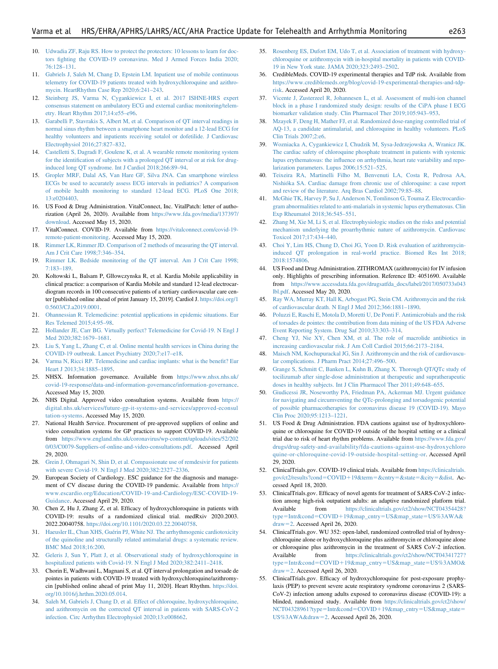- <span id="page-8-0"></span>10. [Udwadia ZF, Raju RS. How to protect the protectors: 10 lessons to learn for doc](http://refhub.elsevier.com/S1547-5271(20)30552-X/sref10)tors fi[ghting the COVID-19 coronavirus. Med J Armed Forces India 2020;](http://refhub.elsevier.com/S1547-5271(20)30552-X/sref10) [76:128](http://refhub.elsevier.com/S1547-5271(20)30552-X/sref10)–131.
- <span id="page-8-2"></span>11. [Gabriels J, Saleh M, Chang D, Epstein LM. Inpatient use of mobile continuous](http://refhub.elsevier.com/S1547-5271(20)30552-X/sref11) [telemetry for COVID-19 patients treated with hydroxychloroquine and azithro](http://refhub.elsevier.com/S1547-5271(20)30552-X/sref11)[mycin. HeartRhythm Case Rep 2020;6:241](http://refhub.elsevier.com/S1547-5271(20)30552-X/sref11)–243.
- <span id="page-8-25"></span>12. [Steinberg JS, Varma N, Cygankiewicz I, et al. 2017 ISHNE-HRS expert](http://refhub.elsevier.com/S1547-5271(20)30552-X/sref12) [consensus statement on ambulatory ECG and external cardiac monitoring/telem](http://refhub.elsevier.com/S1547-5271(20)30552-X/sref12)[etry. Heart Rhythm 2017;14:e55](http://refhub.elsevier.com/S1547-5271(20)30552-X/sref12)–e96.
- 13. [Garabelli P, Stavrakis S, Albert M, et al. Comparison of QT interval readings in](http://refhub.elsevier.com/S1547-5271(20)30552-X/sref13) [normal sinus rhythm between a smartphone heart monitor and a 12-lead ECG for](http://refhub.elsevier.com/S1547-5271(20)30552-X/sref13) [healthy volunteers and inpatients receiving sotalol or dofetilide. J Cardiovasc](http://refhub.elsevier.com/S1547-5271(20)30552-X/sref13) [Electrophysiol 2016;27:827](http://refhub.elsevier.com/S1547-5271(20)30552-X/sref13)–832.
- 14. [Castelletti S, Dagradi F, Goulene K, et al. A wearable remote monitoring system](http://refhub.elsevier.com/S1547-5271(20)30552-X/sref14) for the identifi[cation of subjects with a prolonged QT interval or at risk for drug](http://refhub.elsevier.com/S1547-5271(20)30552-X/sref14)[induced long QT syndrome. Int J Cardiol 2018;266:89](http://refhub.elsevier.com/S1547-5271(20)30552-X/sref14)–94.
- 15. [Gropler MRF, Dalal AS, Van Hare GF, Silva JNA. Can smartphone wireless](http://refhub.elsevier.com/S1547-5271(20)30552-X/sref15) [ECGs be used to accurately assess ECG intervals in pediatrics? A comparison](http://refhub.elsevier.com/S1547-5271(20)30552-X/sref15) [of mobile health monitoring to standard 12-lead ECG. PLoS One 2018;](http://refhub.elsevier.com/S1547-5271(20)30552-X/sref15) [13:e0204403](http://refhub.elsevier.com/S1547-5271(20)30552-X/sref15).
- <span id="page-8-3"></span>16. US Food & Drug Administration. VitalConnect, Inc. VitalPatch: letter of authorization (April 26, 2020). Available from [https://www.fda.gov/media/137397/](https://www.fda.gov/media/137397/download) [download](https://www.fda.gov/media/137397/download). Accessed May 15, 2020.
- <span id="page-8-4"></span>17. VitalConnect. COVID-19. Available from [https://vitalconnect.com/covid-19](https://vitalconnect.com/covid-19-remote-patient-monitoring) [remote-patient-monitoring.](https://vitalconnect.com/covid-19-remote-patient-monitoring) Accessed May 15, 2020.
- <span id="page-8-5"></span>18. [Rimmer LK, Rimmer JD. Comparison of 2 methods of measuring the QT interval.](http://refhub.elsevier.com/S1547-5271(20)30552-X/sref18) [Am J Crit Care 1998;7:346](http://refhub.elsevier.com/S1547-5271(20)30552-X/sref18)–354.
- <span id="page-8-6"></span>19. [Rimmer LK. Bedside monitoring of the QT interval. Am J Crit Care 1998;](http://refhub.elsevier.com/S1547-5271(20)30552-X/sref19) [7:183](http://refhub.elsevier.com/S1547-5271(20)30552-X/sref19)–189.
- <span id="page-8-7"></span>20. Koltowski L, Balsam P, Glłowczynska R, et al. Kardia Mobile applicability in clinical practice: a comparison of Kardia Mobile and standard 12-lead electrocardiogram records in 100 consecutive patients of a tertiary cardiovascular care center [published online ahead of print January 15, 2019]. Cardiol J. [https://doi.org/1](https://doi.org/10.5603/CJ.a2019.0001) [0.5603/CJ.a2019.0001.](https://doi.org/10.5603/CJ.a2019.0001)
- <span id="page-8-8"></span>21. [Ohannessian R. Telemedicine: potential applications in epidemic situations. Eur](http://refhub.elsevier.com/S1547-5271(20)30552-X/sref21) [Res Telemed 2015;4:95](http://refhub.elsevier.com/S1547-5271(20)30552-X/sref21)–98.
- 22. [Hollander JE, Carr BG. Virtually perfect? Telemedicine for Covid-19. N Engl J](http://refhub.elsevier.com/S1547-5271(20)30552-X/sref22) [Med 2020;382:1679](http://refhub.elsevier.com/S1547-5271(20)30552-X/sref22)–1681.
- 23. [Liu S, Yang L, Zhang C, et al. Online mental health services in China during the](http://refhub.elsevier.com/S1547-5271(20)30552-X/sref23) [COVID-19 outbreak. Lancet Psychiatry 2020;7:e17](http://refhub.elsevier.com/S1547-5271(20)30552-X/sref23)–e18.
- <span id="page-8-9"></span>24. [Varma N, Ricci RP. Telemedicine and cardiac implants: what is the bene](http://refhub.elsevier.com/S1547-5271(20)30552-X/sref24)fit? Eur [Heart J 2013;34:1885](http://refhub.elsevier.com/S1547-5271(20)30552-X/sref24)–1895.
- <span id="page-8-1"></span>25. NHSX. Information governance. Available from [https://www.nhsx.nhs.uk/](https://www.nhsx.nhs.uk/covid-19-response/data-and-information-governance/information-governance) [covid-19-response/data-and-information-governance/information-governance](https://www.nhsx.nhs.uk/covid-19-response/data-and-information-governance/information-governance). Accessed May 15, 2020.
- <span id="page-8-10"></span>26. NHS Digital. Approved video consultation systems. Available from [https://](https://digital.nhs.uk/services/future-gp-it-systems-and-services/approved-econsultation-systems) [digital.nhs.uk/services/future-gp-it-systems-and-services/approved-econsul](https://digital.nhs.uk/services/future-gp-it-systems-and-services/approved-econsultation-systems) [tation-systems](https://digital.nhs.uk/services/future-gp-it-systems-and-services/approved-econsultation-systems). Accessed May 15, 2020.
- 27. National Health Service. Procurement of pre-approved suppliers of online and video consultation systems for GP practices to support COVID-19. Available from [https://www.england.nhs.uk/coronavirus/wp-content/uploads/sites/52/202](https://www.england.nhs.uk/coronavirus/wp-content/uploads/sites/52/2020/03/C0079-Suppliers-of-online-and-video-consultations.pdf) [0/03/C0079-Suppliers-of-online-and-video-consultations.pdf](https://www.england.nhs.uk/coronavirus/wp-content/uploads/sites/52/2020/03/C0079-Suppliers-of-online-and-video-consultations.pdf). Accessed April 29, 2020.
- <span id="page-8-11"></span>28. [Grein J, Ohmagari N, Shin D, et al. Compassionate use of remdesivir for patients](http://refhub.elsevier.com/S1547-5271(20)30552-X/sref28) [with severe Covid-19. N Engl J Med 2020;382:2327](http://refhub.elsevier.com/S1547-5271(20)30552-X/sref28)–2336.
- 29. European Society of Cardiology. ESC guidance for the diagnosis and management of CV disease during the COVID-19 pandemic. Available from [https://](https://www.escardio.org/Education/COVID-19-and-Cardiology/ESC-COVID-19-Guidance) [www.escardio.org/Education/COVID-19-and-Cardiology/ESC-COVID-19-](https://www.escardio.org/Education/COVID-19-and-Cardiology/ESC-COVID-19-Guidance) [Guidance.](https://www.escardio.org/Education/COVID-19-and-Cardiology/ESC-COVID-19-Guidance) Accessed April 29, 2020.
- 30. Chen Z, Hu J, Zhang Z, et al. Efficacy of hydroxychloroquine in patients with COVID-19: results of a randomized clinical trial. medRxiv 2020.2003. 2022.20040758. [https://doi.org/10.1101/2020.03.22.20040758.](https://doi.org/10.1101/2020.03.22.20040758)
- <span id="page-8-12"></span>31. [Haeusler IL, Chan XHS, Guérin PJ, White NJ. The arrhythmogenic cardiotoxicity](http://refhub.elsevier.com/S1547-5271(20)30552-X/sref31) [of the quinoline and structurally related antimalarial drugs: a systematic review.](http://refhub.elsevier.com/S1547-5271(20)30552-X/sref31) [BMC Med 2018;16:200](http://refhub.elsevier.com/S1547-5271(20)30552-X/sref31).
- <span id="page-8-13"></span>32. [Geleris J, Sun Y, Platt J, et al. Observational study of hydroxychloroquine in](http://refhub.elsevier.com/S1547-5271(20)30552-X/sref32) [hospitalized patients with Covid-19. N Engl J Med 2020;382:2411](http://refhub.elsevier.com/S1547-5271(20)30552-X/sref32)–2418.
- <span id="page-8-14"></span>33. Chorin E, Wadhwani L, Magnani S, et al. QT interval prolongation and torsade de pointes in patients with COVID-19 treated with hydroxychloroquine/azithromycin [published online ahead of print May 11, 2020]. Heart Rhythm. [https://doi.](https://doi.org/10.1016/j.hrthm.2020.05.014) [org/10.1016/j.hrthm.2020.05.014](https://doi.org/10.1016/j.hrthm.2020.05.014).
- <span id="page-8-15"></span>34. [Saleh M, Gabriels J, Chang D, et al. Effect of chloroquine, hydroxychloroquine,](http://refhub.elsevier.com/S1547-5271(20)30552-X/sref34) [and azithromycin on the corrected QT interval in patients with SARS-CoV-2](http://refhub.elsevier.com/S1547-5271(20)30552-X/sref34) [infection. Circ Arrhythm Electrophysiol 2020;13:e008662.](http://refhub.elsevier.com/S1547-5271(20)30552-X/sref34)
- <span id="page-8-16"></span>35. [Rosenberg ES, Dufort EM, Udo T, et al. Association of treatment with hydroxy](http://refhub.elsevier.com/S1547-5271(20)30552-X/sref35)[chloroquine or azithromycin with in-hospital mortality in patients with COVID-](http://refhub.elsevier.com/S1547-5271(20)30552-X/sref35)[19 in New York state. JAMA 2020;323:2493](http://refhub.elsevier.com/S1547-5271(20)30552-X/sref35)–2502.
- <span id="page-8-20"></span>36. CredibleMeds. COVID-19 experimental therapies and TdP risk. Available from [https://www.crediblemeds.org/blog/covid-19-experimental-therapies-and-tdp](https://www.crediblemeds.org/blog/covid-19-experimental-therapies-and-tdp-risk)[risk](https://www.crediblemeds.org/blog/covid-19-experimental-therapies-and-tdp-risk). Accessed April 20, 2020.
- <span id="page-8-21"></span>37. [Vicente J, Zusterzeel R, Johannesen L, et al. Assessment of multi-ion channel](http://refhub.elsevier.com/S1547-5271(20)30552-X/sref37) [block in a phase I randomized study design: results of the CiPA phase I ECG](http://refhub.elsevier.com/S1547-5271(20)30552-X/sref37) [biomarker validation study. Clin Pharmacol Ther 2019;105:943](http://refhub.elsevier.com/S1547-5271(20)30552-X/sref37)–953.
- 38. [Mzayek F, Deng H, Mather FJ, et al. Randomized dose-ranging controlled trial of](http://refhub.elsevier.com/S1547-5271(20)30552-X/sref38) [AQ-13, a candidate antimalarial, and chloroquine in healthy volunteers. PLoS](http://refhub.elsevier.com/S1547-5271(20)30552-X/sref38) [Clin Trials 2007;2:e6](http://refhub.elsevier.com/S1547-5271(20)30552-X/sref38).
- 39. [Wozniacka A, Cygankiewicz I, Chudzik M, Sysa-Jedrzejowska A, Wranicz JK.](http://refhub.elsevier.com/S1547-5271(20)30552-X/sref39) [The cardiac safety of chloroquine phosphate treatment in patients with systemic](http://refhub.elsevier.com/S1547-5271(20)30552-X/sref39) lupus erythematosus: the infl[uence on arrhythmia, heart rate variability and repo](http://refhub.elsevier.com/S1547-5271(20)30552-X/sref39)[larization parameters. Lupus 2006;15:521](http://refhub.elsevier.com/S1547-5271(20)30552-X/sref39)–525.
- 40. [Teixeira RA, Martinelli Filho M, Benvenuti LA, Costa R, Pedrosa AA,](http://refhub.elsevier.com/S1547-5271(20)30552-X/sref40) [Nishióka SA. Cardiac damage from chronic use of chloroquine: a case report](http://refhub.elsevier.com/S1547-5271(20)30552-X/sref40) [and review of the literature. Arq Bras Cardiol 2002;79:85](http://refhub.elsevier.com/S1547-5271(20)30552-X/sref40)–88.
- <span id="page-8-22"></span>41. [McGhie TK, Harvey P, Su J, Anderson N, Tomlinson G, Touma Z. Electrocardio](http://refhub.elsevier.com/S1547-5271(20)30552-X/sref41)[gram abnormalities related to anti-malarials in systemic lupus erythematosus. Clin](http://refhub.elsevier.com/S1547-5271(20)30552-X/sref41) [Exp Rheumatol 2018;36:545](http://refhub.elsevier.com/S1547-5271(20)30552-X/sref41)–551.
- <span id="page-8-23"></span>42. [Zhang M, Xie M, Li S, et al. Electrophysiologic studies on the risks and potential](http://refhub.elsevier.com/S1547-5271(20)30552-X/sref42) [mechanism underlying the proarrhythmic nature of azithromycin. Cardiovasc](http://refhub.elsevier.com/S1547-5271(20)30552-X/sref42) [Toxicol 2017;17:434](http://refhub.elsevier.com/S1547-5271(20)30552-X/sref42)–440.
- 43. [Choi Y, Lim HS, Chung D, Choi JG, Yoon D. Risk evaluation of azithromycin](http://refhub.elsevier.com/S1547-5271(20)30552-X/sref43)[induced QT prolongation in real-world practice. Biomed Res Int 2018;](http://refhub.elsevier.com/S1547-5271(20)30552-X/sref43) [2018:1574806.](http://refhub.elsevier.com/S1547-5271(20)30552-X/sref43)
- 44. US Food and Drug Administration. ZITHROMAX (azithromycin) for IV infusion only. Highlights of prescribing information. Reference ID: 4051690. Available from [https://www.accessdata.fda.gov/drugsatfda\\_docs/label/2017/050733s043](https://www.accessdata.fda.gov/drugsatfda_docs/label/2017/050733s043lbl.pdf) [lbl.pdf.](https://www.accessdata.fda.gov/drugsatfda_docs/label/2017/050733s043lbl.pdf) Accessed May 20, 2020.
- 45. [Ray WA, Murray KT, Hall K, Arbogast PG, Stein CM. Azithromycin and the risk](http://refhub.elsevier.com/S1547-5271(20)30552-X/sref45) [of cardiovascular death. N Engl J Med 2012;366:1881](http://refhub.elsevier.com/S1547-5271(20)30552-X/sref45)–1890.
- 46. [Poluzzi E, Raschi E, Motola D, Moretti U, De Ponti F. Antimicrobials and the risk](http://refhub.elsevier.com/S1547-5271(20)30552-X/sref46) [of torsades de pointes: the contribution from data mining of the US FDA Adverse](http://refhub.elsevier.com/S1547-5271(20)30552-X/sref46) [Event Reporting System. Drug Saf 2010;33:303](http://refhub.elsevier.com/S1547-5271(20)30552-X/sref46)–314.
- 47. [Cheng YJ, Nie XY, Chen XM, et al. The role of macrolide antibiotics in](http://refhub.elsevier.com/S1547-5271(20)30552-X/sref47) [increasing cardiovascular risk. J Am Coll Cardiol 2015;66:2173](http://refhub.elsevier.com/S1547-5271(20)30552-X/sref47)–2184.
- 48. [Maisch NM, Kochupurackal JG, Sin J. Azithromycin and the risk of cardiovascu](http://refhub.elsevier.com/S1547-5271(20)30552-X/sref48)[lar complications. J Pharm Pract 2014;27:496](http://refhub.elsevier.com/S1547-5271(20)30552-X/sref48)–500.
- <span id="page-8-24"></span>49. [Grange S, Schmitt C, Banken L, Kuhn B, Zhang X. Thorough QT/QTc study of](http://refhub.elsevier.com/S1547-5271(20)30552-X/sref49) [tocilizumab after single-dose administration at therapeutic and supratherapeutic](http://refhub.elsevier.com/S1547-5271(20)30552-X/sref49) [doses in healthy subjects. Int J Clin Pharmacol Ther 2011;49:648](http://refhub.elsevier.com/S1547-5271(20)30552-X/sref49)–655.
- <span id="page-8-17"></span>50. [Giudicessi JR, Noseworthy PA, Friedman PA, Ackerman MJ. Urgent guidance](http://refhub.elsevier.com/S1547-5271(20)30552-X/sref50) [for navigating and circumventing the QTc-prolonging and torsadogenic potential](http://refhub.elsevier.com/S1547-5271(20)30552-X/sref50) [of possible pharmacotherapies for coronavirus disease 19 \(COVID-19\). Mayo](http://refhub.elsevier.com/S1547-5271(20)30552-X/sref50) [Clin Proc 2020;95:1213](http://refhub.elsevier.com/S1547-5271(20)30552-X/sref50)–1221.
- <span id="page-8-18"></span>51. US Food & Drug Administration. FDA cautions against use of hydroxychloroquine or chloroquine for COVID-19 outside of the hospital setting or a clinical trial due to risk of heart rhythm problems. Available from [https://www.fda.gov/](https://www.fda.gov/drugs/drug-safety-and-availability/fda-cautions-against-use-hydroxychloroquine-or-chloroquine-covid-19-outside-hospital-setting-or) [drugs/drug-safety-and-availability/fda-cautions-against-use-hydroxychloro](https://www.fda.gov/drugs/drug-safety-and-availability/fda-cautions-against-use-hydroxychloroquine-or-chloroquine-covid-19-outside-hospital-setting-or) [quine-or-chloroquine-covid-19-outside-hospital-setting-or.](https://www.fda.gov/drugs/drug-safety-and-availability/fda-cautions-against-use-hydroxychloroquine-or-chloroquine-covid-19-outside-hospital-setting-or) Accessed April 29, 2020.
- <span id="page-8-19"></span>52. ClinicalTrials.gov. COVID-19 clinical trials. Available from [https://clinicaltrials.](https://clinicaltrials.gov/ct2/results?cond=COVID+19&term=&cntry=&state=&city=&dist) [gov/ct2/results?cond](https://clinicaltrials.gov/ct2/results?cond=COVID+19&term=&cntry=&state=&city=&dist)=[COVID](https://clinicaltrials.gov/ct2/results?cond=COVID+19&term=&cntry=&state=&city=&dist)+[19&term](https://clinicaltrials.gov/ct2/results?cond=COVID+19&term=&cntry=&state=&city=&dist)=[&cntry](https://clinicaltrials.gov/ct2/results?cond=COVID+19&term=&cntry=&state=&city=&dist)=[&state](https://clinicaltrials.gov/ct2/results?cond=COVID+19&term=&cntry=&state=&city=&dist)=[&city](https://clinicaltrials.gov/ct2/results?cond=COVID+19&term=&cntry=&state=&city=&dist)=[&dist](https://clinicaltrials.gov/ct2/results?cond=COVID+19&term=&cntry=&state=&city=&dist). Accessed April 18, 2020.
- 53. ClinicalTrials.gov. Efficacy of novel agents for treatment of SARS-CoV-2 infection among high-risk outpatient adults: an adaptive randomized platform trial. Available from [https://clinicaltrials.gov/ct2/show/NCT04354428?](https://clinicaltrials.gov/ct2/show/NCT04354428?type=Intr&cond=COVID+19&map_cntry=US&map_state=US%3AWA&draw=2) [type](https://clinicaltrials.gov/ct2/show/NCT04354428?type=Intr&cond=COVID+19&map_cntry=US&map_state=US%3AWA&draw=2)=[Intr&cond](https://clinicaltrials.gov/ct2/show/NCT04354428?type=Intr&cond=COVID+19&map_cntry=US&map_state=US%3AWA&draw=2)=[COVID](https://clinicaltrials.gov/ct2/show/NCT04354428?type=Intr&cond=COVID+19&map_cntry=US&map_state=US%3AWA&draw=2)+[19&map\\_cntry](https://clinicaltrials.gov/ct2/show/NCT04354428?type=Intr&cond=COVID+19&map_cntry=US&map_state=US%3AWA&draw=2)=[US&map\\_state](https://clinicaltrials.gov/ct2/show/NCT04354428?type=Intr&cond=COVID+19&map_cntry=US&map_state=US%3AWA&draw=2)=[US%3AWA&](https://clinicaltrials.gov/ct2/show/NCT04354428?type=Intr&cond=COVID+19&map_cntry=US&map_state=US%3AWA&draw=2)  $draw=2$  $draw=2$  $draw=2$ . Accessed April 26, 2020.
- 54. ClinicalTrials.gov. WU 352: open-label, randomized controlled trial of hydroxychloroquine alone or hydroxychloroquine plus azithromycin or chloroquine alone or chloroquine plus azithromycin in the treatment of SARS CoV-2 infection. Available from [https://clinicaltrials.gov/ct2/show/NCT04341727?](https://clinicaltrials.gov/ct2/show/NCT04341727?type=Intr&cond=COVID+19&map_cntry=US&map_state=US%3AMO&draw=2) [type](https://clinicaltrials.gov/ct2/show/NCT04341727?type=Intr&cond=COVID+19&map_cntry=US&map_state=US%3AMO&draw=2)=[Intr&cond](https://clinicaltrials.gov/ct2/show/NCT04341727?type=Intr&cond=COVID+19&map_cntry=US&map_state=US%3AMO&draw=2)=[COVID](https://clinicaltrials.gov/ct2/show/NCT04341727?type=Intr&cond=COVID+19&map_cntry=US&map_state=US%3AMO&draw=2)+[19&map\\_cntry](https://clinicaltrials.gov/ct2/show/NCT04341727?type=Intr&cond=COVID+19&map_cntry=US&map_state=US%3AMO&draw=2)=[US&map\\_state](https://clinicaltrials.gov/ct2/show/NCT04341727?type=Intr&cond=COVID+19&map_cntry=US&map_state=US%3AMO&draw=2)=[US%3AMO&](https://clinicaltrials.gov/ct2/show/NCT04341727?type=Intr&cond=COVID+19&map_cntry=US&map_state=US%3AMO&draw=2)  $draw=2$  $draw=2$ . Accessed April 26, 2020.
- 55. ClinicalTrials.gov. Efficacy of hydroxychloroquine for post-exposure prophylaxis (PEP) to prevent severe acute respiratory syndrome coronavirus 2 (SARS-CoV-2) infection among adults exposed to coronavirus disease (COVID-19): a blinded, randomized study. Available from [https://clinicaltrials.gov/ct2/show/](https://clinicaltrials.gov/ct2/show/NCT04328961?type=Intr&cond=COVID+19&map_cntry=US&map_state=US%3AWA&draw=2) [NCT04328961?type](https://clinicaltrials.gov/ct2/show/NCT04328961?type=Intr&cond=COVID+19&map_cntry=US&map_state=US%3AWA&draw=2)=[Intr&cond](https://clinicaltrials.gov/ct2/show/NCT04328961?type=Intr&cond=COVID+19&map_cntry=US&map_state=US%3AWA&draw=2)=[COVID](https://clinicaltrials.gov/ct2/show/NCT04328961?type=Intr&cond=COVID+19&map_cntry=US&map_state=US%3AWA&draw=2)+[19&map\\_cntry](https://clinicaltrials.gov/ct2/show/NCT04328961?type=Intr&cond=COVID+19&map_cntry=US&map_state=US%3AWA&draw=2)=[US&map\\_state](https://clinicaltrials.gov/ct2/show/NCT04328961?type=Intr&cond=COVID+19&map_cntry=US&map_state=US%3AWA&draw=2)= [US%3AWA&draw](https://clinicaltrials.gov/ct2/show/NCT04328961?type=Intr&cond=COVID+19&map_cntry=US&map_state=US%3AWA&draw=2)=[2](https://clinicaltrials.gov/ct2/show/NCT04328961?type=Intr&cond=COVID+19&map_cntry=US&map_state=US%3AWA&draw=2). Accessed April 26, 2020.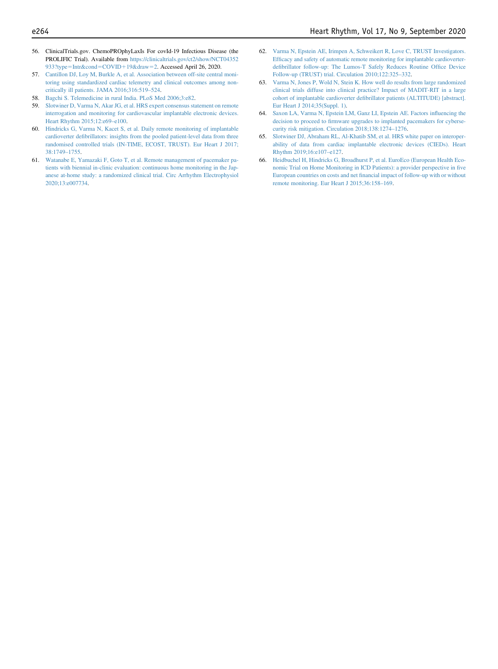- 56. ClinicalTrials.gov. ChemoPROphyLaxIs For covId-19 Infectious Disease (the PROLIFIC Trial). Available from [https://clinicaltrials.gov/ct2/show/NCT04352](https://clinicaltrials.gov/ct2/show/NCT04352933?type=Intr&cond=COVID+19&draw=2) [933?type](https://clinicaltrials.gov/ct2/show/NCT04352933?type=Intr&cond=COVID+19&draw=2)=[Intr&cond](https://clinicaltrials.gov/ct2/show/NCT04352933?type=Intr&cond=COVID+19&draw=2)=[COVID](https://clinicaltrials.gov/ct2/show/NCT04352933?type=Intr&cond=COVID+19&draw=2)+[19&draw](https://clinicaltrials.gov/ct2/show/NCT04352933?type=Intr&cond=COVID+19&draw=2)=[2.](https://clinicaltrials.gov/ct2/show/NCT04352933?type=Intr&cond=COVID+19&draw=2) Accessed April 26, 2020.
- <span id="page-9-0"></span>57. [Cantillon DJ, Loy M, Burkle A, et al. Association between off-site central moni](http://refhub.elsevier.com/S1547-5271(20)30552-X/sref57)[toring using standardized cardiac telemetry and clinical outcomes among non](http://refhub.elsevier.com/S1547-5271(20)30552-X/sref57)[critically ill patients. JAMA 2016;316:519](http://refhub.elsevier.com/S1547-5271(20)30552-X/sref57)–524.
- <span id="page-9-1"></span>58. [Bagchi S. Telemedicine in rural India. PLoS Med 2006;3:e82.](http://refhub.elsevier.com/S1547-5271(20)30552-X/sref58)
- <span id="page-9-2"></span>59. [Slotwiner D, Varma N, Akar JG, et al. HRS expert consensus statement on remote](http://refhub.elsevier.com/S1547-5271(20)30552-X/sref59) [interrogation and monitoring for cardiovascular implantable electronic devices.](http://refhub.elsevier.com/S1547-5271(20)30552-X/sref59) [Heart Rhythm 2015;12:e69](http://refhub.elsevier.com/S1547-5271(20)30552-X/sref59)–e100.
- <span id="page-9-3"></span>60. [Hindricks G, Varma N, Kacet S, et al. Daily remote monitoring of implantable](http://refhub.elsevier.com/S1547-5271(20)30552-X/sref60) cardioverter defi[brillators: insights from the pooled patient-level data from three](http://refhub.elsevier.com/S1547-5271(20)30552-X/sref60) [randomised controlled trials \(IN-TIME, ECOST, TRUST\). Eur Heart J 2017;](http://refhub.elsevier.com/S1547-5271(20)30552-X/sref60) [38:1749](http://refhub.elsevier.com/S1547-5271(20)30552-X/sref60)–1755.
- <span id="page-9-4"></span>61. [Watanabe E, Yamazaki F, Goto T, et al. Remote management of pacemaker pa](http://refhub.elsevier.com/S1547-5271(20)30552-X/sref61)[tients with biennial in-clinic evaluation: continuous home monitoring in the Jap](http://refhub.elsevier.com/S1547-5271(20)30552-X/sref61)[anese at-home study: a randomized clinical trial. Circ Arrhythm Electrophysiol](http://refhub.elsevier.com/S1547-5271(20)30552-X/sref61) [2020;13:e007734](http://refhub.elsevier.com/S1547-5271(20)30552-X/sref61).
- <span id="page-9-5"></span>62. [Varma N, Epstein AE, Irimpen A, Schweikert R, Love C, TRUST Investigators.](http://refhub.elsevier.com/S1547-5271(20)30552-X/sref62) Effi[cacy and safety of automatic remote monitoring for implantable cardioverter](http://refhub.elsevier.com/S1547-5271(20)30552-X/sref62)defi[brillator follow-up: The Lumos-T Safely Reduces Routine Of](http://refhub.elsevier.com/S1547-5271(20)30552-X/sref62)fice Device [Follow-up \(TRUST\) trial. Circulation 2010;122:325](http://refhub.elsevier.com/S1547-5271(20)30552-X/sref62)–332.
- <span id="page-9-6"></span>63. [Varma N, Jones P, Wold N, Stein K. How well do results from large randomized](http://refhub.elsevier.com/S1547-5271(20)30552-X/sref63) [clinical trials diffuse into clinical practice? Impact of MADIT-RIT in a large](http://refhub.elsevier.com/S1547-5271(20)30552-X/sref63) cohort of implantable cardioverter defi[brillator patients \(ALTITUDE\) \[abstract\].](http://refhub.elsevier.com/S1547-5271(20)30552-X/sref63) [Eur Heart J 2014;35\(Suppl. 1\)](http://refhub.elsevier.com/S1547-5271(20)30552-X/sref63).
- <span id="page-9-7"></span>64. [Saxon LA, Varma N, Epstein LM, Ganz LI, Epstein AE. Factors in](http://refhub.elsevier.com/S1547-5271(20)30552-X/sref64)fluencing the decision to proceed to fi[rmware upgrades to implanted pacemakers for cyberse](http://refhub.elsevier.com/S1547-5271(20)30552-X/sref64)[curity risk mitigation. Circulation 2018;138:1274](http://refhub.elsevier.com/S1547-5271(20)30552-X/sref64)–1276.
- 65. [Slotwiner DJ, Abraham RL, Al-Khatib SM, et al. HRS white paper on interoper](http://refhub.elsevier.com/S1547-5271(20)30552-X/sref65)[ability of data from cardiac implantable electronic devices \(CIEDs\). Heart](http://refhub.elsevier.com/S1547-5271(20)30552-X/sref65) [Rhythm 2019;16:e107](http://refhub.elsevier.com/S1547-5271(20)30552-X/sref65)–e127.
- 66. [Heidbuchel H, Hindricks G, Broadhurst P, et al. EuroEco \(European Health Eco](http://refhub.elsevier.com/S1547-5271(20)30552-X/sref66)[nomic Trial on Home Monitoring in ICD Patients\): a provider perspective in](http://refhub.elsevier.com/S1547-5271(20)30552-X/sref66) five European countries on costs and net fi[nancial impact of follow-up with or without](http://refhub.elsevier.com/S1547-5271(20)30552-X/sref66) [remote monitoring. Eur Heart J 2015;36:158](http://refhub.elsevier.com/S1547-5271(20)30552-X/sref66)–169.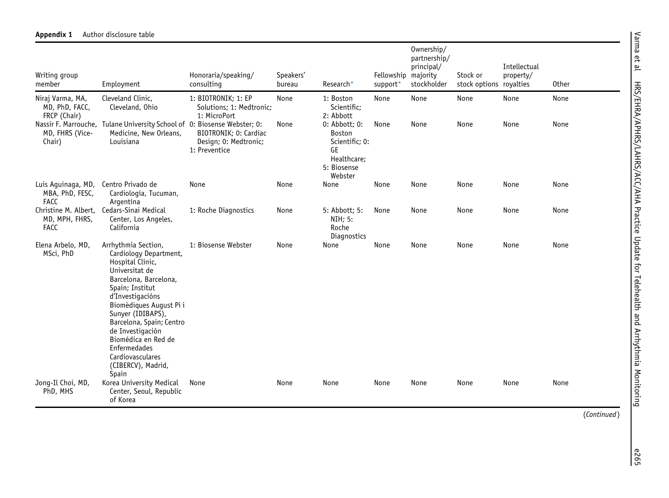| Writing group<br>member                              | Employment                                                                                                                                                                                                                                                                                                                                    | Honoraria/speaking/<br>consulting                               | Speakers'<br>bureau | Research*                                                                                           | Fellowship majority<br>support* | Ownership/<br>partnership/<br>principal/<br>stockholder | Stock or<br>stock options royalties | Intellectual<br>property/ | <b>Other</b> |
|------------------------------------------------------|-----------------------------------------------------------------------------------------------------------------------------------------------------------------------------------------------------------------------------------------------------------------------------------------------------------------------------------------------|-----------------------------------------------------------------|---------------------|-----------------------------------------------------------------------------------------------------|---------------------------------|---------------------------------------------------------|-------------------------------------|---------------------------|--------------|
| Niraj Varma, MA,<br>MD, PhD, FACC,<br>FRCP (Chair)   | Cleveland Clinic,<br>Cleveland, Ohio                                                                                                                                                                                                                                                                                                          | 1: BIOTRONIK; 1: EP<br>Solutions; 1: Medtronic;<br>1: MicroPort | None                | 1: Boston<br>Scientific:<br>2: Abbott                                                               | None                            | None                                                    | None                                | None                      | None         |
| MD, FHRS (Vice-<br>Chair)                            | Nassir F. Marrouche, Tulane University School of 0: Biosense Webster; 0:<br>Medicine, New Orleans,<br>Louisiana                                                                                                                                                                                                                               | BIOTRONIK; 0: Cardiac<br>Design; 0: Medtronic;<br>1: Preventice | None                | $0:$ Abbott; $0:$<br><b>Boston</b><br>Scientific: 0:<br>GE<br>Healthcare;<br>5: Biosense<br>Webster | None                            | None                                                    | None                                | None                      | None         |
| Luis Aguinaga, MD,<br>MBA, PhD, FESC,<br><b>FACC</b> | Centro Privado de<br>Cardiología, Tucuman,<br>Argentina                                                                                                                                                                                                                                                                                       | None                                                            | None                | None                                                                                                | None                            | None                                                    | None                                | None                      | None         |
| Christine M. Albert.<br>MD, MPH, FHRS,<br>FACC       | Cedars-Sinai Medical<br>Center, Los Angeles,<br>California                                                                                                                                                                                                                                                                                    | 1: Roche Diagnostics                                            | None                | 5: Abbott; 5:<br>NIH; 5:<br>Roche<br>Diagnostics                                                    | None                            | None                                                    | None                                | None                      | None         |
| Elena Arbelo, MD,<br>MSci, PhD                       | Arrhythmia Section,<br>Cardiology Department,<br>Hospital Clínic,<br>Universitat de<br>Barcelona, Barcelona,<br>Spain; Institut<br>d'Investigacións<br>Biomèdiques August Pi i<br>Sunyer (IDIBAPS),<br>Barcelona, Spain; Centro<br>de Investigación<br>Biomédica en Red de<br>Enfermedades<br>Cardiovasculares<br>(CIBERCV), Madrid,<br>Spain | 1: Biosense Webster                                             | None                | None                                                                                                | None                            | None                                                    | None                                | None                      | None         |
| Jong-Il Choi, MD,<br>PhD, MHS                        | Korea University Medical<br>Center, Seoul, Republic<br>of Korea                                                                                                                                                                                                                                                                               | None                                                            | None                | None                                                                                                | None                            | None                                                    | None                                | None                      | None         |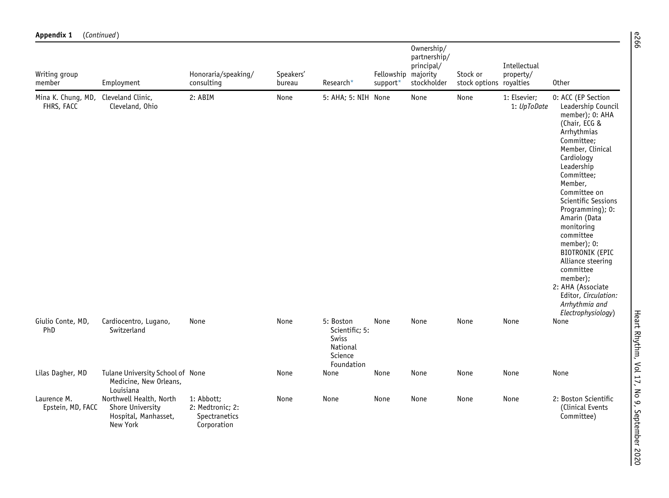| Appendix 1                       | (Continued)                                                                     |                                                                |                     |                                                                           |                        |                                                                     |                                     |                             |                                                                                                                                                                                                                                                                                                                                                                                                                                                                      |
|----------------------------------|---------------------------------------------------------------------------------|----------------------------------------------------------------|---------------------|---------------------------------------------------------------------------|------------------------|---------------------------------------------------------------------|-------------------------------------|-----------------------------|----------------------------------------------------------------------------------------------------------------------------------------------------------------------------------------------------------------------------------------------------------------------------------------------------------------------------------------------------------------------------------------------------------------------------------------------------------------------|
| Writing group<br>member          | Employment                                                                      | Honoraria/speaking/<br>consulting                              | Speakers'<br>bureau | Research*                                                                 | Fellowship<br>support* | Ownership/<br>partnership/<br>principal/<br>majority<br>stockholder | Stock or<br>stock options royalties | Intellectual<br>property/   | <b>Other</b>                                                                                                                                                                                                                                                                                                                                                                                                                                                         |
| Mina K. Chung, MD,<br>FHRS, FACC | Cleveland Clinic,<br>Cleveland, Ohio                                            | 2: ABIM                                                        | None                | 5: AHA; 5: NIH None                                                       |                        | None                                                                | None                                | 1: Elsevier;<br>1: UpToDate | 0: ACC (EP Section<br>Leadership Council<br>member); 0: AHA<br>(Chair, ECG &<br>Arrhythmias<br>Committee;<br>Member, Clinical<br>Cardiology<br>Leadership<br>Committee;<br>Member,<br>Committee on<br>Scientific Sessions<br>Programming); 0:<br>Amarin (Data<br>monitoring<br>committee<br>member); 0:<br><b>BIOTRONIK (EPIC</b><br>Alliance steering<br>committee<br>member);<br>2: AHA (Associate<br>Editor, Circulation:<br>Arrhythmia and<br>Electrophysiology) |
| Giulio Conte, MD,<br>PhD         | Cardiocentro, Lugano,<br>Switzerland                                            | None                                                           | None                | 5: Boston<br>Scientific; 5:<br>Swiss<br>National<br>Science<br>Foundation | None                   | None                                                                | None                                | None                        | None                                                                                                                                                                                                                                                                                                                                                                                                                                                                 |
| Lilas Dagher, MD                 | Tulane University School of None<br>Medicine, New Orleans,<br>Louisiana         |                                                                | None                | None                                                                      | None                   | None                                                                | None                                | None                        | None                                                                                                                                                                                                                                                                                                                                                                                                                                                                 |
| Laurence M.<br>Epstein, MD, FACC | Northwell Health, North<br>Shore University<br>Hospital, Manhasset,<br>New York | 1: Abbott;<br>2: Medtronic; 2:<br>Spectranetics<br>Corporation | None                | None                                                                      | None                   | None                                                                | None                                | None                        | 2: Boston Scientific<br>(Clinical Events<br>Committee)                                                                                                                                                                                                                                                                                                                                                                                                               |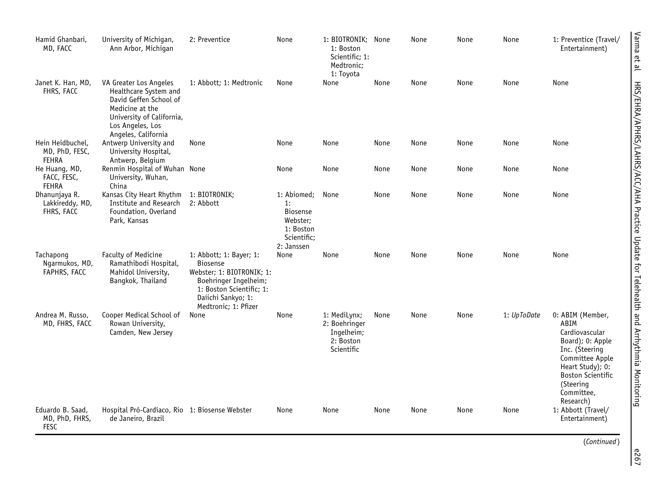| Hamid Ghanbari,<br>MD, FACC                        | University of Michigan,<br>Ann Arbor, Michigan                                                                                                                       | 2: Preventice                                                                                                                                                       | None                                                                                       | 1: BIOTRONIK; None<br>1: Boston<br>Scientific; 1:<br>Medtronic;<br>1: Toyota |      | None | None | None        | 1: Preventice (Travel/<br>Entertainment)                                                                                                                                                    |
|----------------------------------------------------|----------------------------------------------------------------------------------------------------------------------------------------------------------------------|---------------------------------------------------------------------------------------------------------------------------------------------------------------------|--------------------------------------------------------------------------------------------|------------------------------------------------------------------------------|------|------|------|-------------|---------------------------------------------------------------------------------------------------------------------------------------------------------------------------------------------|
| Janet K. Han, MD,<br>FHRS, FACC                    | VA Greater Los Angeles<br>Healthcare System and<br>David Geffen School of<br>Medicine at the<br>University of California,<br>Los Angeles, Los<br>Angeles, California | 1: Abbott; 1: Medtronic                                                                                                                                             | None                                                                                       | None                                                                         | None | None | None | None        | None                                                                                                                                                                                        |
| Hein Heidbuchel,<br>MD, PhD, FESC,<br><b>FEHRA</b> | Antwerp University and<br>University Hospital,<br>Antwerp, Belgium                                                                                                   | None                                                                                                                                                                | None                                                                                       | None                                                                         | None | None | None | None        | None                                                                                                                                                                                        |
| He Huang, MD,<br>FACC, FESC,<br><b>FEHRA</b>       | Renmin Hospital of Wuhan None<br>University, Wuhan,<br>China                                                                                                         |                                                                                                                                                                     | None                                                                                       | None                                                                         | None | None | None | None        | None                                                                                                                                                                                        |
| Dhanunjaya R.<br>Lakkireddy, MD,<br>FHRS, FACC     | Kansas City Heart Rhythm<br>Institute and Research<br>Foundation, Overland<br>Park, Kansas                                                                           | 1: BIOTRONIK;<br>2: Abbott                                                                                                                                          | 1: Abiomed;<br>1:<br><b>Biosense</b><br>Webster;<br>1: Boston<br>Scientific;<br>2: Janssen | None                                                                         | None | None | None | None        | None                                                                                                                                                                                        |
| Tachapong<br>Ngarmukos, MD,<br>FAPHRS, FACC        | Faculty of Medicine<br>Ramathibodi Hospital,<br>Mahidol University,<br>Bangkok, Thailand                                                                             | 1: Abbott; 1: Bayer; 1:<br>Biosense<br>Webster; 1: BIOTRONIK; 1:<br>Boehringer Ingelheim;<br>1: Boston Scientific; 1:<br>Daiichi Sankyo; 1:<br>Medtronic; 1: Pfizer | None                                                                                       | None                                                                         | None | None | None | None        | None                                                                                                                                                                                        |
| Andrea M. Russo,<br>MD, FHRS, FACC                 | Cooper Medical School of<br>Rowan University,<br>Camden, New Jersey                                                                                                  | None                                                                                                                                                                | None                                                                                       | 1: MediLynx;<br>2: Boehringer<br>Ingelheim;<br>2: Boston<br>Scientific       | None | None | None | 1: UpToDate | 0: ABIM (Member,<br>ABIM<br>Cardiovascular<br>Board); 0: Apple<br>Inc. (Steering<br>Committee Apple<br>Heart Study); 0:<br><b>Boston Scientific</b><br>(Steering<br>Committee,<br>Research) |
| Eduardo B. Saad,<br>MD, PhD, FHRS,<br><b>FESC</b>  | Hospital Pró-Cardíaco, Rio 1: Biosense Webster<br>de Janeiro, Brazil                                                                                                 |                                                                                                                                                                     | None                                                                                       | None                                                                         | None | None | None | None        | 1: Abbott (Travel/<br>Entertainment)                                                                                                                                                        |